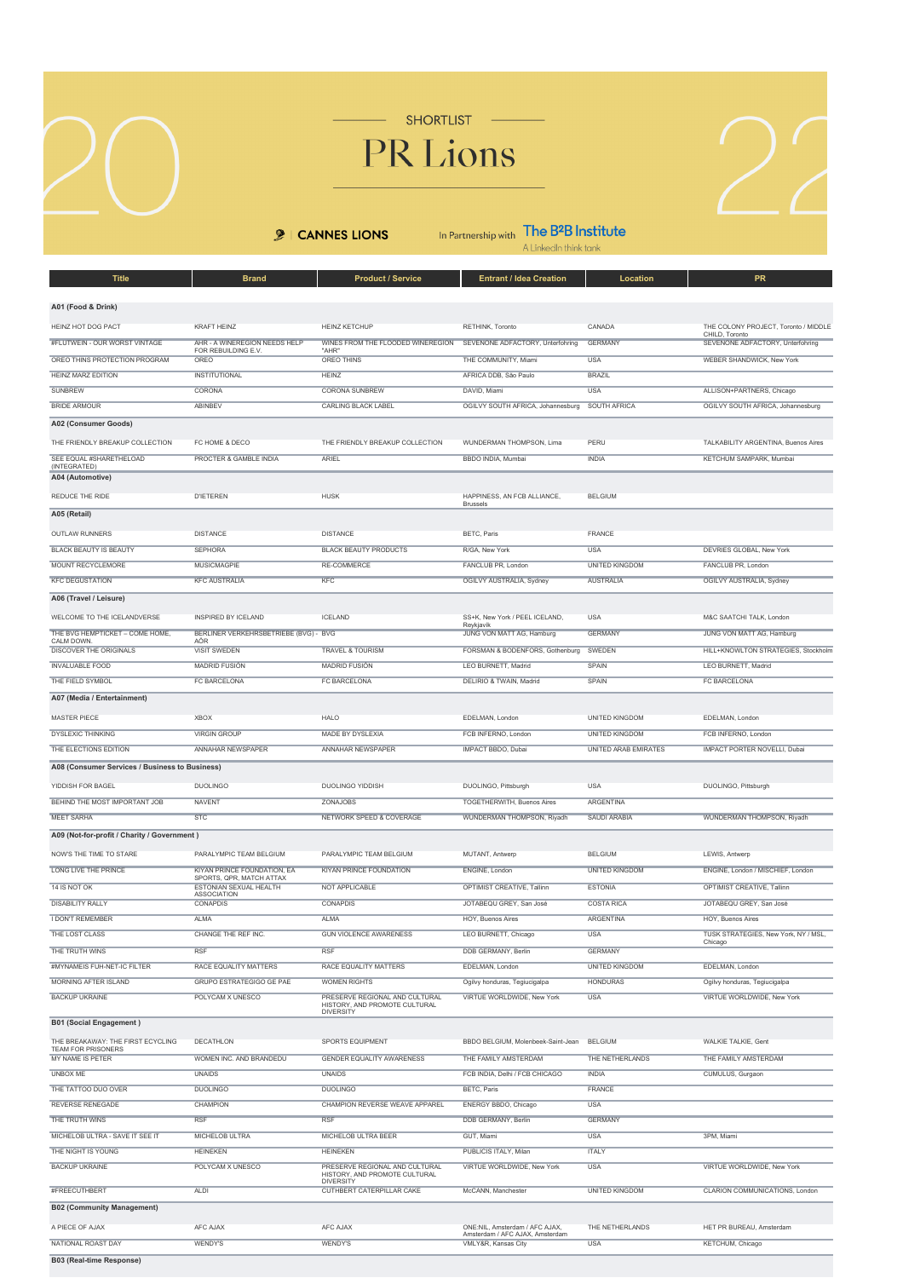

SHORTLIST

## PR Lions

**9** | CANNES LIONS

In Partnership with  $\prod_{\text{A Linkedh think tank}}$ 

| <b>Title</b>                                            | <b>Brand</b>                                            | <b>Product / Service</b>                                        | <b>Entrant / Idea Creation</b>                                                           | Location                      | <b>PR</b>                                          |
|---------------------------------------------------------|---------------------------------------------------------|-----------------------------------------------------------------|------------------------------------------------------------------------------------------|-------------------------------|----------------------------------------------------|
|                                                         |                                                         |                                                                 |                                                                                          |                               |                                                    |
| A01 (Food & Drink)                                      |                                                         |                                                                 |                                                                                          |                               |                                                    |
| HEINZ HOT DOG PACT                                      | <b>KRAFT HEINZ</b>                                      | <b>HEINZ KETCHUP</b>                                            | RETHINK, Toronto                                                                         | CANADA                        | THE COLONY PROJECT, Toronto / MIDDLI               |
| #FLUTWEIN - OUR WORST VINTAGE                           | AHR - A WINEREGION NEEDS HELP                           | WINES FROM THE FLOODED WINEREGION                               | SEVENONE ADFACTORY, Unterfohring                                                         | <b>GERMANY</b>                | CHILD, Toronto<br>SEVENONE ADFACTORY, Unterfohring |
| OREO THINS PROTECTION PROGRAM                           | FOR REBUILDING E.V.<br>OREO                             | "AHR"<br>OREO THINS                                             | THE COMMUNITY, Miami                                                                     | <b>USA</b>                    | WEBER SHANDWICK, New York                          |
| <b>HEINZ MARZ EDITION</b>                               | <b>INSTITUTIONAL</b>                                    | <b>HEINZ</b>                                                    | AFRICA DDB, São Paulo                                                                    | <b>BRAZIL</b>                 |                                                    |
| <b>SUNBREW</b>                                          | CORONA                                                  | <b>CORONA SUNBREW</b>                                           | DAVID, Miami                                                                             | <b>USA</b>                    | ALLISON+PARTNERS, Chicago                          |
| <b>BRIDE ARMOUR</b>                                     | ABINBEV                                                 | <b>CARLING BLACK LABEL</b>                                      | OGILVY SOUTH AFRICA, Johannesburg                                                        | SOUTH AFRICA                  | OGILVY SOUTH AFRICA, Johannesburg                  |
| A02 (Consumer Goods)                                    |                                                         |                                                                 |                                                                                          |                               |                                                    |
| THE FRIENDLY BREAKUP COLLECTION                         |                                                         |                                                                 |                                                                                          |                               |                                                    |
|                                                         | FC HOME & DECO                                          | THE FRIENDLY BREAKUP COLLECTION                                 | WUNDERMAN THOMPSON, Lima                                                                 | PERU                          | TALKABILITY ARGENTINA, Buenos Aires                |
| SEE EQUAL #SHARETHELOAD<br>(INTEGRATED)                 | PROCTER & GAMBLE INDIA                                  | ARIEL                                                           | BBDO INDIA, Mumbai                                                                       | <b>INDIA</b>                  | KETCHUM SAMPARK, Mumbai                            |
| A04 (Automotive)                                        |                                                         |                                                                 |                                                                                          |                               |                                                    |
| REDUCE THE RIDE                                         | <b>D'IETEREN</b>                                        | <b>HUSK</b>                                                     | HAPPINESS, AN FCB ALLIANCE,<br><b>Brussels</b>                                           | <b>BELGIUM</b>                |                                                    |
| A05 (Retail)                                            |                                                         |                                                                 |                                                                                          |                               |                                                    |
| OUTLAW RUNNERS                                          | <b>DISTANCE</b>                                         | <b>DISTANCE</b>                                                 | BETC, Paris                                                                              | FRANCE                        |                                                    |
| <b>BLACK BEAUTY IS BEAUTY</b>                           | <b>SEPHORA</b>                                          | <b>BLACK BEAUTY PRODUCTS</b>                                    | R/GA, New York                                                                           | <b>USA</b>                    | DEVRIES GLOBAL, New York                           |
| <b>MOUNT RECYCLEMORE</b>                                | <b>MUSICMAGPIE</b>                                      | <b>RE-COMMERCE</b>                                              | FANCLUB PR, London                                                                       | <b>UNITED KINGDOM</b>         | FANCLUB PR, London                                 |
| <b>KFC DEGUSTATION</b>                                  | <b>KFC AUSTRALIA</b>                                    | <b>KFC</b>                                                      | OGILVY AUSTRALIA, Sydney                                                                 | <b>AUSTRALIA</b>              | OGILVY AUSTRALIA, Sydney                           |
| A06 (Travel / Leisure)                                  |                                                         |                                                                 |                                                                                          |                               |                                                    |
|                                                         |                                                         |                                                                 |                                                                                          |                               |                                                    |
| WELCOME TO THE ICELANDVERSE                             | INSPIRED BY ICELAND                                     | <b>ICELAND</b>                                                  | SS+K, New York / PEEL ICELAND,<br>Reykjavík                                              | <b>USA</b>                    | M&C SAATCHI TALK, London                           |
| THE BVG HEMPTICKET - COME HOME,<br>CALM DOWN.           | BERLINER VERKEHRSBETRIEBE (BVG) - BVG<br><b>AÖR</b>     |                                                                 | JUNG VON MATT AG, Hamburg                                                                | <b>GERMANY</b>                | JUNG VON MATT AG, Hamburg                          |
| <b>DISCOVER THE ORIGINALS</b>                           | <b>VISIT SWEDEN</b>                                     | <b>TRAVEL &amp; TOURISM</b>                                     | FORSMAN & BODENFORS, Gothenburg                                                          | SWEDEN                        | HILL+KNOWLTON STRATEGIES, Stockholt                |
| <b>INVALUABLE FOOD</b>                                  | MADRID FUSIÓN                                           | MADRID FUSIÓN                                                   | LEO BURNETT, Madrid                                                                      | SPAIN                         | LEO BURNETT, Madrid                                |
| THE FIELD SYMBOL                                        | <b>FC BARCELONA</b>                                     | <b>FC BARCELONA</b>                                             | <b>DELIRIO &amp; TWAIN, Madrid</b>                                                       | <b>SPAIN</b>                  | FC BARCELONA                                       |
| A07 (Media / Entertainment)                             |                                                         |                                                                 |                                                                                          |                               |                                                    |
| MASTER PIECE                                            | <b>XBOX</b>                                             | <b>HALO</b>                                                     | EDELMAN, London                                                                          | <b>UNITED KINGDOM</b>         | EDELMAN, London                                    |
| DYSLEXIC THINKING                                       | <b>VIRGIN GROUP</b>                                     | MADE BY DYSLEXIA                                                | FCB INFERNO, London                                                                      | <b>UNITED KINGDOM</b>         | FCB INFERNO, London                                |
| THE ELECTIONS EDITION                                   | <b>ANNAHAR NEWSPAPER</b>                                | ANNAHAR NEWSPAPER                                               | IMPACT BBDO, Dubai                                                                       | <b>UNITED ARAB EMIRATES</b>   | <b>IMPACT PORTER NOVELLI, Dubai</b>                |
| A08 (Consumer Services / Business to Business)          |                                                         |                                                                 |                                                                                          |                               |                                                    |
| YIDDISH FOR BAGEL                                       | <b>DUOLINGO</b>                                         | DUOLINGO YIDDISH                                                | DUOLINGO, Pittsburgh                                                                     | <b>USA</b>                    | DUOLINGO, Pittsburgh                               |
| BEHIND THE MOST IMPORTANT JOB                           | <b>NAVENT</b>                                           | ZONAJOBS                                                        | TOGETHERWITH, Buenos Aires                                                               | <b>ARGENTINA</b>              |                                                    |
| <b>MEET SARHA</b>                                       | <b>STC</b>                                              | NETWORK SPEED & COVERAGE                                        | WUNDERMAN THOMPSON, Riyadh                                                               | <b>SAUDI ARABIA</b>           | WUNDERMAN THOMPSON, Riyadh                         |
|                                                         |                                                         |                                                                 |                                                                                          |                               |                                                    |
| A09 (Not-for-profit / Charity / Government)             |                                                         |                                                                 |                                                                                          |                               |                                                    |
| NOW'S THE TIME TO STARE                                 | PARALYMPIC TEAM BELGIUM                                 | PARALYMPIC TEAM BELGIUM                                         | MUTANT, Antwerp                                                                          | <b>BELGIUM</b>                | LEWIS, Antwerp                                     |
| LONG LIVE THE PRINCE                                    | KIYAN PRINCE FOUNDATION, EA<br>SPORTS, QPR, MATCH ATTAX | KIYAN PRINCE FOUNDATION                                         | ENGINE, London                                                                           | <b>UNITED KINGDOM</b>         | ENGINE, London / MISCHIEF, London                  |
| 14 IS NOT OK                                            | ESTONIAN SEXUAL HEALTH<br><b>ASSOCIATION</b>            | NOT APPLICABLE                                                  | OPTIMIST CREATIVE, Tallinn                                                               | <b>ESTONIA</b>                | OPTIMIST CREATIVE, Tallinn                         |
| <b>DISABILITY RALLY</b>                                 | <b>CONAPDIS</b>                                         | <b>CONAPDIS</b>                                                 | JOTABEQU GREY, San José                                                                  | <b>COSTA RICA</b>             | JOTABEQU GREY, San José                            |
| <b>I DON'T REMEMBER</b>                                 | <b>ALMA</b>                                             | <b>ALMA</b>                                                     | HOY, Buenos Aires                                                                        |                               |                                                    |
| THE LOST CLASS                                          |                                                         |                                                                 |                                                                                          | <b>ARGENTINA</b>              | HOY, Buenos Aires                                  |
|                                                         | CHANGE THE REF INC.                                     | <b>GUN VIOLENCE AWARENESS</b>                                   | LEO BURNETT, Chicago                                                                     | <b>USA</b>                    | TUSK STRATEGIES, New York, NY / MSL,               |
| THE TRUTH WINS                                          | <b>RSF</b>                                              | <b>RSF</b>                                                      | DDB GERMANY, Berlin                                                                      | <b>GERMANY</b>                | Chicago                                            |
| #MYNAMEIS FUH-NET-IC FILTER                             | RACE EQUALITY MATTERS                                   | RACE EQUALITY MATTERS                                           | EDELMAN, London                                                                          | <b>UNITED KINGDOM</b>         | EDELMAN, London                                    |
| <b>MORNING AFTER ISLAND</b>                             | <b>GRUPO ESTRATEGIGO GE PAE</b>                         | <b>WOMEN RIGHTS</b>                                             | Ogilvy honduras, Tegiucigalpa                                                            | <b>HONDURAS</b>               | Ogilvy honduras, Tegiucigalpa                      |
| <b>BACKUP UKRAINE</b>                                   | POLYCAM X UNESCO                                        | PRESERVE REGIONAL AND CULTURAL                                  | VIRTUE WORLDWIDE, New York                                                               | <b>USA</b>                    | VIRTUE WORLDWIDE, New York                         |
|                                                         |                                                         | HISTORY, AND PROMOTE CULTURAL<br><b>DIVERSITY</b>               |                                                                                          |                               |                                                    |
| <b>B01 (Social Engagement)</b>                          |                                                         |                                                                 |                                                                                          |                               |                                                    |
| THE BREAKAWAY: THE FIRST ECYCLING<br>TEAM FOR PRISONERS | DECATHLON                                               | SPORTS EQUIPMENT                                                | BBDO BELGIUM, Molenbeek-Saint-Jean                                                       | <b>BELGIUM</b>                | WALKIE TALKIE, Gent                                |
| MY NAME IS PETER                                        | WOMEN INC. AND BRANDEDU                                 | GENDER EQUALITY AWARENESS                                       | THE FAMILY AMSTERDAM                                                                     | THE NETHERLANDS               | THE FAMILY AMSTERDAM                               |
| <b>UNBOX ME</b>                                         | <b>UNAIDS</b>                                           | <b>UNAIDS</b>                                                   | FCB INDIA, Delhi / FCB CHICAGO                                                           | <b>INDIA</b>                  | CUMULUS, Gurgaon                                   |
| THE TATTOO DUO OVER                                     | <b>DUOLINGO</b>                                         | <b>DUOLINGO</b>                                                 | BETC, Paris                                                                              | FRANCE                        |                                                    |
| <b>REVERSE RENEGADE</b>                                 | <b>CHAMPION</b>                                         | CHAMPION REVERSE WEAVE APPAREL                                  | ENERGY BBDO, Chicago                                                                     | <b>USA</b>                    |                                                    |
| THE TRUTH WINS                                          | <b>RSF</b>                                              | <b>RSF</b>                                                      | <b>DDB GERMANY, Berlin</b>                                                               | <b>GERMANY</b>                |                                                    |
| MICHELOB ULTRA - SAVE IT SEE IT                         | MICHELOB ULTRA                                          | MICHELOB ULTRA BEER                                             | GUT, Miami                                                                               | <b>USA</b>                    | 3PM, Miami                                         |
| THE NIGHT IS YOUNG                                      | <b>HEINEKEN</b>                                         | <b>HEINEKEN</b>                                                 | PUBLICIS ITALY, Milan                                                                    | <b>ITALY</b>                  |                                                    |
| <b>BACKUP UKRAINE</b>                                   | POLYCAM X UNESCO                                        | PRESERVE REGIONAL AND CULTURAL<br>HISTORY, AND PROMOTE CULTURAL | VIRTUE WORLDWIDE, New York                                                               | <b>USA</b>                    | VIRTUE WORLDWIDE, New York                         |
| #FREECUTHBERT                                           | <b>ALDI</b>                                             | <b>DIVERSITY</b><br>CUTHBERT CATERPILLAR CAKE                   | McCANN, Manchester                                                                       | <b>UNITED KINGDOM</b>         | CLARION COMMUNICATIONS, London                     |
|                                                         |                                                         |                                                                 |                                                                                          |                               |                                                    |
| <b>B02 (Community Management)</b>                       |                                                         |                                                                 |                                                                                          |                               |                                                    |
| A PIECE OF AJAX<br>NATIONAL ROAST DAY                   | AFC AJAX<br>WENDY'S                                     | AFC AJAX<br>WENDY'S                                             | ONE:NIL, Amsterdam / AFC AJAX,<br>Amsterdam / AFC AJAX, Amsterdam<br>VMLY&R, Kansas City | THE NETHERLANDS<br><b>USA</b> | HET PR BUREAU, Amsterdam<br>KETCHUM, Chicago       |

B03 (Real-time Response)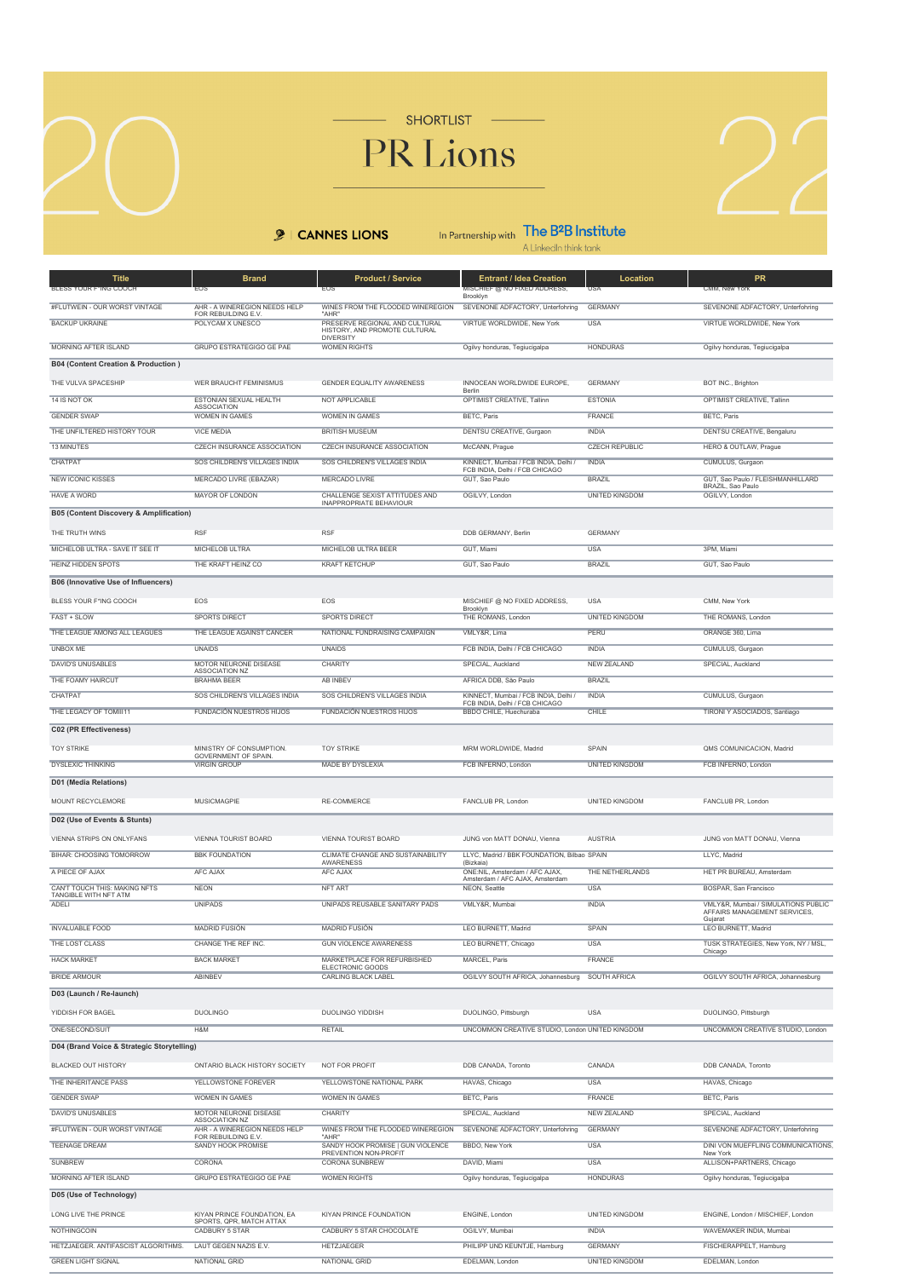SHORTLIST PR Lions

**9** | CANNES LIONS

In Partnership with  $\prod_{\text{A Linkedh think tank}}$ 

| <b>Title</b>                                       | <b>Brand</b>                                         | <b>Product / Service</b>                                                            | <b>Entrant / Idea Creation</b>                                         | Location              | PR                                                     |
|----------------------------------------------------|------------------------------------------------------|-------------------------------------------------------------------------------------|------------------------------------------------------------------------|-----------------------|--------------------------------------------------------|
| BLESS YOUR F*ING COOCH                             | FOS                                                  | EOS                                                                                 | ISOHILLA MUNOTHMADDADI RESSI<br>Brooklyn                               | USA                   | CMM, New York                                          |
| #FLUTWEIN - OUR WORST VINTAGE                      | AHR - A WINEREGION NEEDS HELP<br>FOR REBUILDING E.V. | WINES FROM THE FLOODED WINEREGION<br>"AHR"                                          | SEVENONE ADFACTORY, Unterfohring                                       | <b>GERMANY</b>        | SEVENONE ADFACTORY, Unterfohring                       |
| <b>BACKUP UKRAINE</b>                              | POLYCAM X UNESCO                                     | PRESERVE REGIONAL AND CULTURAL<br>HISTORY, AND PROMOTE CULTURAL<br><b>DIVERSITY</b> | VIRTUE WORLDWIDE, New York                                             | <b>USA</b>            | VIRTUE WORLDWIDE, New York                             |
| <b>MORNING AFTER ISLAND</b>                        | <b>GRUPO ESTRATEGIGO GE PAE</b>                      | <b>WOMEN RIGHTS</b>                                                                 | Ogilvy honduras, Tegiucigalpa                                          | <b>HONDURAS</b>       | Ogilvy honduras, Tegiucigalpa                          |
| B04 (Content Creation & Production)                |                                                      |                                                                                     |                                                                        |                       |                                                        |
| THE VULVA SPACESHIP                                | WER BRAUCHT FEMINISMUS                               | GENDER EQUALITY AWARENESS                                                           | INNOCEAN WORLDWIDE EUROPE,<br>Berlin                                   | <b>GERMANY</b>        | BOT INC., Brighton                                     |
| 14 IS NOT OK                                       | ESTONIAN SEXUAL HEALTH<br><b>ASSOCIATION</b>         | NOT APPLICABLE                                                                      | OPTIMIST CREATIVE, Tallinn                                             | <b>ESTONIA</b>        | OPTIMIST CREATIVE, Tallinn                             |
| <b>GENDER SWAP</b>                                 | <b>WOMEN IN GAMES</b>                                | <b>WOMEN IN GAMES</b>                                                               | <b>BETC, Paris</b>                                                     | <b>FRANCE</b>         | BETC, Paris                                            |
| THE UNFILTERED HISTORY TOUR                        | <b>VICE MEDIA</b>                                    | <b>BRITISH MUSEUM</b>                                                               | <b>DENTSU CREATIVE, Gurgaon</b>                                        | <b>INDIA</b>          | DENTSU CREATIVE, Bengaluru                             |
| 13 MINUTES                                         | CZECH INSURANCE ASSOCIATION                          | <b>CZECH INSURANCE ASSOCIATION</b>                                                  | McCANN, Prague                                                         | <b>CZECH REPUBLIC</b> | <b>HERO &amp; OUTLAW, Prague</b>                       |
| CHATPAT                                            | SOS CHILDREN'S VILLAGES INDIA                        | SOS CHILDREN'S VILLAGES INDIA                                                       | KINNECT, Mumbai / FCB INDIA, Delhi /<br>FCB INDIA, Delhi / FCB CHICAGO | <b>INDIA</b>          | CUMULUS, Gurgaon                                       |
| <b>NEW ICONIC KISSES</b>                           | <b>MERCADO LIVRE (EBAZAR)</b>                        | <b>MERCADO LIVRE</b>                                                                | GUT, Sao Paulo                                                         | <b>BRAZIL</b>         | GUT, Sao Paulo / FLEISHMANHILLARD<br>BRAZIL, Sao Paulo |
| <b>HAVE A WORD</b>                                 | <b>MAYOR OF LONDON</b>                               | CHALLENGE SEXIST ATTITUDES AND<br>INAPPROPRIATE BEHAVIOUR                           | OGILVY, London                                                         | <b>UNITED KINGDOM</b> | OGILVY, London                                         |
| <b>B05 (Content Discovery &amp; Amplification)</b> |                                                      |                                                                                     |                                                                        |                       |                                                        |
| THE TRUTH WINS                                     | <b>RSF</b>                                           | <b>RSF</b>                                                                          | DDB GERMANY, Berlin                                                    | <b>GERMANY</b>        |                                                        |
| MICHELOB ULTRA - SAVE IT SEE IT                    | MICHELOB ULTRA                                       | MICHELOB ULTRA BEER                                                                 | GUT, Miami                                                             | <b>USA</b>            | 3PM, Miami                                             |
| <b>HEINZ HIDDEN SPOTS</b>                          | THE KRAFT HEINZ CO                                   | <b>KRAFT KETCHUP</b>                                                                | GUT, Sao Paulo                                                         | <b>BRAZIL</b>         | GUT, Sao Paulo                                         |
| B06 (Innovative Use of Influencers)                |                                                      |                                                                                     |                                                                        |                       |                                                        |
| BLESS YOUR F*ING COOCH                             | EOS                                                  | EOS                                                                                 | MISCHIEF @ NO FIXED ADDRESS,                                           | USA                   | CMM, New York                                          |
| FAST + SLOW                                        | <b>SPORTS DIRECT</b>                                 | <b>SPORTS DIRECT</b>                                                                | Brooklyn<br>THE ROMANS, London                                         | <b>UNITED KINGDOM</b> | THE ROMANS, London                                     |
| THE LEAGUE AMONG ALL LEAGUES                       | THE LEAGUE AGAINST CANCER                            | NATIONAL FUNDRAISING CAMPAIGN                                                       | VMI Y&R. Lima                                                          | PERU                  | ORANGE 360, Lima                                       |
| <b>UNBOX ME</b>                                    | <b>UNAIDS</b>                                        | <b>UNAIDS</b>                                                                       | FCB INDIA, Delhi / FCB CHICAGO                                         | <b>INDIA</b>          | CUMULUS, Gurgaon                                       |
| <b>DAVID'S UNUSABLES</b>                           | MOTOR NEURONE DISEASE<br>ASSOCIATION NZ              | <b>CHARITY</b>                                                                      | SPECIAL, Auckland                                                      | <b>NEW ZEALAND</b>    | SPECIAL, Auckland                                      |
| THE FOAMY HAIRCUT                                  | <b>BRAHMA BEER</b>                                   | <b>AB INBEV</b>                                                                     | AFRICA DDB, São Paulo                                                  | <b>BRAZIL</b>         |                                                        |
| <b>CHATPAT</b>                                     | SOS CHILDREN'S VILLAGES INDIA                        | SOS CHILDREN'S VILLAGES INDIA                                                       | KINNECT, Mumbai / FCB INDIA, Delhi /<br>FCB INDIA, Delhi / FCB CHICAGO | <b>INDIA</b>          | CUMULUS, Gurgaon                                       |
| THE LEGACY OF TOMIII11                             | <b>FUNDACIÓN NUESTROS HIJOS</b>                      | <b>FUNDACIÓN NUESTROS HIJOS</b>                                                     | BBDO CHILE, Huechuraba                                                 | CHILE                 | TIRONI Y ASOCIADOS, Santiago                           |
| C02 (PR Effectiveness)                             |                                                      |                                                                                     |                                                                        |                       |                                                        |
| <b>TOY STRIKE</b>                                  | MINISTRY OF CONSUMPTION.                             | <b>TOY STRIKE</b>                                                                   | MRM WORLDWIDE, Madrid                                                  | SPAIN                 | QMS COMUNICACION, Madrid                               |
| <b>DYSLEXIC THINKING</b>                           | GOVERNMENT OF SPAIN<br><b>VIRGIN GROUP</b>           | MADE BY DYSLEXIA                                                                    | FCB INFERNO, London                                                    | <b>UNITED KINGDOM</b> | FCB INFERNO, London                                    |
| D01 (Media Relations)                              |                                                      |                                                                                     |                                                                        |                       |                                                        |
| MOUNT RECYCLEMORE                                  | MUSICMAGPIE                                          | RE-COMMERCE                                                                         | FANCLUB PR, London                                                     | UNITED KINGDOM        | FANCLUB PR, London                                     |
| D02 (Use of Events & Stunts)                       |                                                      |                                                                                     |                                                                        |                       |                                                        |
| VIENNA STRIPS ON ONLYFANS                          | VIENNA TOURIST BOARD                                 | VIENNA TOURIST BOARD                                                                | JUNG von MATT DONAU, Vienna                                            | <b>AUSTRIA</b>        | JUNG von MATT DONAU, Vienna                            |
| BIHAR: CHOOSING TOMORROW                           | <b>BBK FOUNDATION</b>                                | CLIMATE CHANGE AND SUSTAINABILITY                                                   | LLYC, Madrid / BBK FOUNDATION, Bilbao SPAIN                            |                       | LLYC, Madrid                                           |
| A PIECE OF AJAX                                    | <b>AFC AJAX</b>                                      | <b>AWARENESS</b><br><b>AFC AJAX</b>                                                 | (Bizkaia)<br>ONE:NIL, Amsterdam / AFC AJAX,                            | THE NETHERLANDS       | HET PR BUREAU, Amsterdam                               |
| CAN'T TOUCH THIS: MAKING NFTS                      | <b>NEON</b>                                          | <b>NFT ART</b>                                                                      | Amsterdam / AFC AJAX, Amsterdam<br>NEON, Seattle                       | <b>USA</b>            | BOSPAR, San Francisco                                  |
| TANGIBLE WITH NFT ATM<br><b>ADELI</b>              | <b>UNIPADS</b>                                       | UNIPADS REUSABLE SANITARY PADS                                                      | VMLY&R, Mumbai                                                         | <b>INDIA</b>          | VMLY&R, Mumbai / SIMULATIONS PUBLIC                    |
|                                                    |                                                      |                                                                                     |                                                                        |                       | AFFAIRS MANAGEMENT SERVICES.<br>Gujarat                |
| <b>INVALUABLE FOOD</b>                             | <b>MADRID FUSIÓN</b>                                 | <b>MADRID FUSIÓN</b>                                                                | LEO BURNETT, Madrid                                                    | SPAIN                 | LEO BURNETT, Madrid                                    |
| THE LOST CLASS                                     | CHANGE THE REFTNC                                    | GUN VIOLENCE AWARENESS                                                              | LEO BURNETT, Chicago                                                   | USA                   | TUSK STRATEGIES, New York, NY / MSL<br>Chicago         |
| <b>HACK MARKET</b>                                 | <b>BACK MARKET</b>                                   | MARKETPLACE FOR REFURBISHED<br>ELECTRONIC GOODS                                     | MARCEL, Paris                                                          | <b>FRANCE</b>         |                                                        |
| <b>BRIDE ARMOUR</b>                                | ABINBEV                                              | <b>CARLING BLACK LABEL</b>                                                          | OGILVY SOUTH AFRICA, Johannesburg SOUTH AFRICA                         |                       | OGILVY SOUTH AFRICA, Johannesburg                      |
| D03 (Launch / Re-launch)                           |                                                      |                                                                                     |                                                                        |                       |                                                        |
| YIDDISH FOR BAGEL                                  | <b>DUOLINGO</b>                                      | DUOLINGO YIDDISH                                                                    | DUOLINGO, Pittsburgh                                                   | <b>USA</b>            | DUOLINGO, Pittsburgh                                   |
| ONE/SECOND/SUIT                                    | H&M                                                  | <b>RETAIL</b>                                                                       | UNCOMMON CREATIVE STUDIO, London UNITED KINGDOM                        |                       | UNCOMMON CREATIVE STUDIO, London                       |
| D04 (Brand Voice & Strategic Storytelling)         |                                                      |                                                                                     |                                                                        |                       |                                                        |
| <b>BLACKED OUT HISTORY</b>                         | ONTARIO BLACK HISTORY SOCIETY                        | NOT FOR PROFIT                                                                      | DDB CANADA, Toronto                                                    | CANADA                | DDB CANADA, Toronto                                    |
| THE INHERITANCE PASS                               | YELLOWSTONE FOREVER                                  | YELLOWSTONE NATIONAL PARK                                                           | HAVAS, Chicago                                                         | <b>USA</b>            | HAVAS, Chicago                                         |
| <b>GENDER SWAP</b>                                 | <b>WOMEN IN GAMES</b>                                | <b>WOMEN IN GAMES</b>                                                               | BETC, Paris                                                            | FRANCE                | BETC, Paris                                            |
| <b>DAVID'S UNUSABLES</b>                           | MOTOR NEURONE DISEASE<br>ASSOCIATION NZ              | CHARITY                                                                             | SPECIAL, Auckland                                                      | <b>NEW ZEALAND</b>    | SPECIAL, Auckland                                      |
| #FLUTWEIN - OUR WORST VINTAGE                      | AHR - A WINEREGION NEEDS HELP                        | WINES FROM THE FLOODED WINEREGION                                                   | SEVENONE ADFACTORY, Unterfohring                                       | <b>GERMANY</b>        | SEVENONE ADFACTORY, Unterfohring                       |
| <b>TEENAGE DREAM</b>                               | FOR REBUILDING E.V.<br><b>SANDY HOOK PROMISE</b>     | "AHR"<br>SANDY HOOK PROMISE   GUN VIOLENCE                                          | BBDO, New York                                                         | <b>USA</b>            | DINI VON MUEFFLING COMMUNICATIONS                      |
| <b>SUNBREW</b>                                     | <b>CORONA</b>                                        | PREVENTION NON-PROFIT<br><b>CORONA SUNBREW</b>                                      | DAVID, Miami                                                           | <b>USA</b>            | New York<br>ALLISON+PARTNERS, Chicago                  |
| <b>MORNING AFTER ISLAND</b>                        | <b>GRUPO ESTRATEGIGO GE PAE</b>                      | <b>WOMEN RIGHTS</b>                                                                 | Ogilvy honduras, Tegiucigalpa                                          | <b>HONDURAS</b>       | Ogilvy honduras, Tegiucigalpa                          |
| D05 (Use of Technology)                            |                                                      |                                                                                     |                                                                        |                       |                                                        |
| LONG LIVE THE PRINCE                               | KIYAN PRINCE FOUNDATION, EA                          | KIYAN PRINCE FOUNDATION                                                             | ENGINE, London                                                         | UNITED KINGDOM        | ENGINE, London / MISCHIEF, London                      |
| <b>NOTHINGCOIN</b>                                 | SPORTS, QPR, MATCH ATTAX<br><b>CADBURY 5 STAR</b>    | CADBURY 5 STAR CHOCOLATE                                                            | OGILVY, Mumbai                                                         | <b>INDIA</b>          | WAVEMAKER INDIA, Mumbai                                |
| HETZJAEGER. ANTIFASCIST ALGORITHMS.                | LAUT GEGEN NAZIS E.V.                                | <b>HETZJAEGER</b>                                                                   | PHILIPP UND KEUNTJE, Hamburg                                           | <b>GERMANY</b>        | FISCHERAPPELT, Hamburg                                 |
| <b>GREEN LIGHT SIGNAL</b>                          | <b>NATIONAL GRID</b>                                 | NATIONAL GRID                                                                       | EDELMAN, London                                                        | <b>UNITED KINGDOM</b> | EDELMAN, London                                        |
|                                                    |                                                      |                                                                                     |                                                                        |                       |                                                        |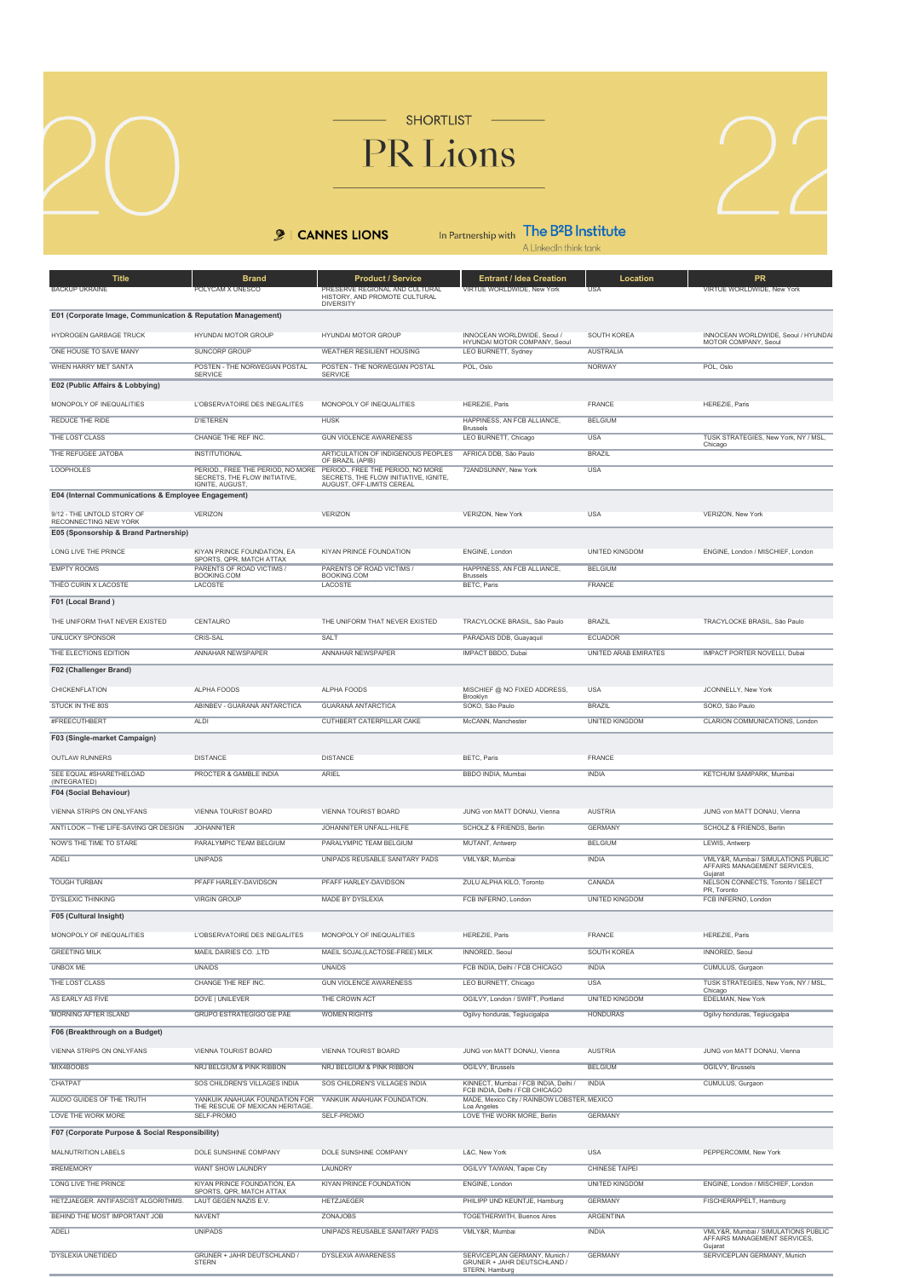SHORTLIST

## PR Lions

## **9** | CANNES LIONS

In Partnership with  $\prod_{\text{A Linkedh think tank}}$ 

| <b>Title</b><br><b>BACKUP UKRAINE</b>                                | <b>Brand</b><br>POLYCAM X UNESCO                                   | <b>Product / Service</b><br>PRESERVE REGIONAL AND CULTURAL<br>HISTORY, AND PROMOTE CULTURAL<br><b>DIVERSITY</b> | <b>Entrant / Idea Creation</b><br>VIRTUE WORLDWIDE, New York                  | Location<br><b>USA</b>                         | PR<br>VIRTUE WORLDWIDE, New York                                       |
|----------------------------------------------------------------------|--------------------------------------------------------------------|-----------------------------------------------------------------------------------------------------------------|-------------------------------------------------------------------------------|------------------------------------------------|------------------------------------------------------------------------|
| E01 (Corporate Image, Communication & Reputation Management)         |                                                                    |                                                                                                                 |                                                                               |                                                |                                                                        |
| HYDROGEN GARBAGE TRUCK                                               | <b>HYUNDAI MOTOR GROUP</b>                                         | HYUNDAI MOTOR GROUP                                                                                             | INNOCEAN WORLDWIDE, Seoul /                                                   | SOUTH KOREA                                    | INNOCEAN WORLDWIDE, Seoul / HYUNDAI                                    |
| ONE HOUSE TO SAVE MANY                                               | <b>SUNCORP GROUP</b>                                               | <b>WEATHER RESILIENT HOUSING</b>                                                                                | HYUNDAI MOTOR COMPANY, Seoul<br><b>LEO BURNETT, Sydney</b>                    | <b>AUSTRALIA</b>                               | MOTOR COMPANY, Seoul                                                   |
| WHEN HARRY MET SANTA                                                 | POSTEN - THE NORWEGIAN POSTAL                                      | POSTEN - THE NORWEGIAN POSTAL                                                                                   | POL, Oslo                                                                     | <b>NORWAY</b>                                  | POL, Oslo                                                              |
| E02 (Public Affairs & Lobbying)                                      | SERVICE                                                            | <b>SERVICE</b>                                                                                                  |                                                                               |                                                |                                                                        |
| MONOPOLY OF INEQUALITIES                                             | L'OBSERVATOIRE DES INEGALITES                                      | MONOPOLY OF INEQUALITIES                                                                                        | HEREZIE, Paris                                                                | FRANCE                                         | HEREZIE, Paris                                                         |
| <b>REDUCE THE RIDE</b>                                               | <b>D'IETEREN</b>                                                   | <b>HUSK</b>                                                                                                     | HAPPINESS, AN FCB ALLIANCE,                                                   | <b>BELGIUM</b>                                 |                                                                        |
| THE LOST CLASS                                                       | CHANGE THE REF INC.                                                | <b>GUN VIOLENCE AWARENESS</b>                                                                                   | <b>Brussels</b><br>LEO BURNETT, Chicago                                       | <b>USA</b>                                     | TUSK STRATEGIES, New York, NY / MSL,                                   |
| THE REFUGEE JATOBA                                                   | <b>INSTITUTIONAL</b>                                               | ARTICULATION OF INDIGENOUS PEOPLES                                                                              | AFRICA DDB, São Paulo                                                         | <b>BRAZIL</b>                                  | Chicago                                                                |
| <b>LOOPHOLES</b>                                                     | PERIOD., FREE THE PERIOD, NO MORE<br>SECRETS, THE FLOW INITIATIVE, | OF BRAZIL (APIB)<br>PERIOD., FREE THE PERIOD, NO MORE<br>SECRETS, THE FLOW INITIATIVE, IGNITE,                  | 72ANDSUNNY, New York                                                          | <b>USA</b>                                     |                                                                        |
| E04 (Internal Communications & Employee Engagement)                  | IGNITE, AUGUST.                                                    | AUGUST, OFF-LIMITS CEREAL                                                                                       |                                                                               |                                                |                                                                        |
| 9/12 - THE UNTOLD STORY OF                                           | VERIZON                                                            | VERIZON                                                                                                         | VERIZON, New York                                                             | <b>USA</b>                                     | VERIZON, New York                                                      |
| RECONNECTING NEW YORK<br>E05 (Sponsorship & Brand Partnership)       |                                                                    |                                                                                                                 |                                                                               |                                                |                                                                        |
| LONG LIVE THE PRINCE                                                 | KIYAN PRINCE FOUNDATION, EA                                        | KIYAN PRINCE FOUNDATION                                                                                         | ENGINE, London                                                                | UNITED KINGDOM                                 | ENGINE, London / MISCHIEF, London                                      |
| <b>EMPTY ROOMS</b>                                                   | SPORTS, QPR, MATCH ATTAX<br>PARENTS OF ROAD VICTIMS /              | PARENTS OF ROAD VICTIMS /                                                                                       | HAPPINESS, AN FCB ALLIANCE,                                                   | <b>BELGIUM</b>                                 |                                                                        |
| THÉO CURIN X LACOSTE                                                 | BOOKING COM<br>LACOSTE                                             | BOOKING.COM<br>LACOSTE                                                                                          | <b>Brussels</b><br><b>BETC, Paris</b>                                         | <b>FRANCE</b>                                  |                                                                        |
| F01 (Local Brand)                                                    |                                                                    |                                                                                                                 |                                                                               |                                                |                                                                        |
| THE UNIFORM THAT NEVER EXISTED                                       | CENTAURO                                                           | THE UNIFORM THAT NEVER EXISTED                                                                                  | TRACYLOCKE BRASIL. São Paulo                                                  | <b>BRAZIL</b>                                  |                                                                        |
| <b>UNLUCKY SPONSOR</b>                                               | CRIS-SAL                                                           | <b>SALT</b>                                                                                                     | PARADAIS DDB, Guayaquil                                                       | <b>ECUADOR</b>                                 | TRACYLOCKE BRASIL, São Paulo                                           |
| THE ELECTIONS EDITION                                                | <b>ANNAHAR NEWSPAPER</b>                                           | <b>ANNAHAR NEWSPAPER</b>                                                                                        | <b>IMPACT BBDO, Dubai</b>                                                     | <b>UNITED ARAB EMIRATES</b>                    | <b>IMPACT PORTER NOVELLI, Dubai</b>                                    |
|                                                                      |                                                                    |                                                                                                                 |                                                                               |                                                |                                                                        |
| F02 (Challenger Brand)                                               |                                                                    |                                                                                                                 |                                                                               |                                                |                                                                        |
| CHICKENFLATION                                                       | ALPHA FOODS                                                        | ALPHA FOODS                                                                                                     | MISCHIEF @ NO FIXED ADDRESS<br>Brooklyn                                       | <b>USA</b>                                     | JCONNELLY, New York                                                    |
| STUCK IN THE 80S                                                     | ABINBEV - GUARANÁ ANTARCTICA                                       | <b>GUARANÁ ANTARCTICA</b>                                                                                       | SOKO, São Paulo                                                               | <b>BRAZIL</b>                                  | SOKO, São Paulo                                                        |
| #FREECUTHBERT                                                        | <b>ALDI</b>                                                        | <b>CUTHBERT CATERPILLAR CAKE</b>                                                                                | McCANN, Manchester                                                            | <b>UNITED KINGDOM</b>                          | CLARION COMMUNICATIONS, London                                         |
| F03 (Single-market Campaign)                                         |                                                                    |                                                                                                                 |                                                                               |                                                |                                                                        |
| <b>OUTLAW RUNNERS</b>                                                | <b>DISTANCE</b>                                                    | <b>DISTANCE</b>                                                                                                 | <b>BETC, Paris</b>                                                            | FRANCE                                         |                                                                        |
| SEE EQUAL #SHARETHELOAD<br>(INTEGRATED)                              | PROCTER & GAMBLE INDIA                                             | <b>ARIEL</b>                                                                                                    | BBDO INDIA, Mumbai                                                            | <b>INDIA</b>                                   | KETCHUM SAMPARK, Mumbai                                                |
| F04 (Social Behaviour)                                               |                                                                    |                                                                                                                 |                                                                               |                                                |                                                                        |
| VIENNA STRIPS ON ONLYFANS                                            | <b>VIENNA TOURIST BOARD</b>                                        | VIENNA TOURIST BOARD                                                                                            | JUNG von MATT DONAU, Vienna                                                   | <b>AUSTRIA</b>                                 | JUNG von MATT DONAU. Vienna                                            |
| ANTI LOOK - THE LIFE-SAVING QR DESIGN                                | <b>JOHANNITER</b>                                                  | JOHANNITER UNFALL-HILFE                                                                                         | SCHOLZ & FRIENDS, Berlin                                                      | <b>GERMANY</b>                                 | SCHOLZ & FRIENDS, Berlin                                               |
| NOW'S THE TIME TO STARE                                              | PARALYMPIC TEAM BELGIUM                                            | PARALYMPIC TEAM BELGIUM                                                                                         | MUTANT, Antwerp                                                               | <b>BELGIUM</b>                                 | LEWIS, Antwerp                                                         |
| ADELI                                                                | <b>UNIPADS</b>                                                     | UNIPADS REUSABLE SANITARY PADS                                                                                  | <b>VMLY&amp;R. Mumbai</b>                                                     | <b>INDIA</b>                                   | VMLY&R, Mumbai / SIMULATIONS PUBLIC                                    |
|                                                                      |                                                                    |                                                                                                                 |                                                                               |                                                | AFFAIRS MANAGEMENT SERVICES.<br>Gujarat                                |
| <b>TOUGH TURBAN</b>                                                  | PFAFF HARLEY-DAVIDSON                                              | PFAFF HARLEY-DAVIDSON                                                                                           | ZULU ALPHA KILO, Toronto                                                      | CANADA                                         | NELSON CONNECTS, Toronto / SELECT<br>PR, Toronto                       |
| <b>DYSLEXIC THINKING</b>                                             | <b>VIRGIN GROUP</b>                                                | <b>MADE BY DYSLEXIA</b>                                                                                         | FCB INFERNO, London                                                           | <b>UNITED KINGDOM</b>                          | FCB INFERNO, London                                                    |
| F05 (Cultural Insight)                                               |                                                                    |                                                                                                                 |                                                                               |                                                |                                                                        |
| MONOPOLY OF INEQUALITIES                                             | L'OBSERVATOIRE DES INEGALITES                                      | MONOPOLY OF INEQUALITIES                                                                                        | HEREZIE, Paris                                                                | FRANCE                                         | HEREZIE, Paris                                                         |
| <b>GREETING MILK</b>                                                 | MAEIL DAIRIES CO., LTD                                             | MAEIL SOJAL(LACTOSE-FREE) MILK                                                                                  | <b>INNORED, Seoul</b>                                                         | <b>SOUTH KOREA</b>                             | <b>INNORED, Seoul</b>                                                  |
| <b>UNBOX ME</b>                                                      | <b>UNAIDS</b>                                                      | <b>UNAIDS</b>                                                                                                   | FCB INDIA, Delhi / FCB CHICAGO                                                | <b>INDIA</b>                                   | CUMULUS, Gurgaon                                                       |
| THE LOST CLASS                                                       | CHANGE THE REF INC.                                                | <b>GUN VIOLENCE AWARENESS</b>                                                                                   | LEO BURNETT, Chicago                                                          | <b>USA</b>                                     | TUSK STRATEGIES, New York, NY / MSL,                                   |
| AS EARLY AS FIVE                                                     | DOVE   UNILEVER                                                    | THE CROWN ACT                                                                                                   | OGILVY, London / SWIFT, Portland                                              | <b>UNITED KINGDOM</b>                          | Chicago<br><b>EDELMAN, New York</b>                                    |
| <b>MORNING AFTER ISLAND</b>                                          | GRUPO ESTRATEGIGO GE PAE                                           | <b>WOMEN RIGHTS</b>                                                                                             | Ogilvy honduras, Tegiucigalpa                                                 | <b>HONDURAS</b>                                | Ogilvy honduras, Tegiucigalpa                                          |
| F06 (Breakthrough on a Budget)                                       |                                                                    |                                                                                                                 |                                                                               |                                                |                                                                        |
| VIENNA STRIPS ON ONLYFANS                                            | VIENNA TOURIST BOARD                                               | VIENNA TOURIST BOARD                                                                                            | JUNG von MATT DONAU, Vienna                                                   | <b>AUSTRIA</b>                                 | JUNG von MATT DONAU, Vienna                                            |
| MIX4BOOBS                                                            | NRJ BELGIUM & PINK RIBBON                                          | NRJ BELGIUM & PINK RIBBON                                                                                       | OGILVY, Brussels                                                              | <b>BELGIUM</b>                                 | OGILVY, Brussels                                                       |
| CHATPAT                                                              | SOS CHILDREN'S VILLAGES INDIA                                      | SOS CHILDREN'S VILLAGES INDIA                                                                                   | KINNECT, Mumbai / FCB INDIA, Delhi /                                          | <b>INDIA</b>                                   | CUMULUS, Gurgaon                                                       |
| AUDIO GUIDES OF THE TRUTH                                            | YANKUIK ANAHUAK FOUNDATION FOR<br>THE RESCUE OF MEXICAN HERITAGE.  | YANKUIK ANAHUAK FOUNDATION.                                                                                     | FCB INDIA, Delhi / FCB CHICAGO<br>MADE, Mexico City / RAINBOW LOBSTER, MEXICO |                                                |                                                                        |
| LOVE THE WORK MORE                                                   | SELF-PROMO                                                         | SELF-PROMO                                                                                                      | Loa Angeles<br>LOVE THE WORK MORE, Berlin                                     | <b>GERMANY</b>                                 |                                                                        |
| F07 (Corporate Purpose & Social Responsibility)                      |                                                                    |                                                                                                                 |                                                                               |                                                |                                                                        |
|                                                                      |                                                                    |                                                                                                                 |                                                                               |                                                |                                                                        |
| MALNUTRITION LABELS<br>#REMEMORY                                     | DOLE SUNSHINE COMPANY                                              | DOLE SUNSHINE COMPANY                                                                                           | L&C, New York                                                                 | <b>USA</b>                                     | PEPPERCOMM, New York                                                   |
| <b>LONG LIVE THE PRINCE</b>                                          | WANT SHOW LAUNDRY<br>KIYAN PRINCE FOUNDATION, EA                   | LAUNDRY<br><b>KIYAN PRINCE FOUNDATION</b>                                                                       | OGILVY TAIWAN, Taipei City<br>ENGINE, London                                  | <b>CHINESE TAIPEI</b><br><b>UNITED KINGDOM</b> | ENGINE, London / MISCHIEF, London                                      |
|                                                                      | SPORTS, QPR, MATCH ATTAX                                           |                                                                                                                 |                                                                               |                                                |                                                                        |
| HETZJAEGER. ANTIFASCIST ALGORITHMS.<br>BEHIND THE MOST IMPORTANT JOB | LAUT GEGEN NAZIS E.V.                                              | <b>HETZJAEGER</b>                                                                                               | PHILIPP UND KEUNTJE, Hamburg<br><b>TOGETHERWITH, Buenos Aires</b>             | <b>GERMANY</b><br><b>ARGENTINA</b>             | FISCHERAPPELT, Hamburg                                                 |
| ADELI                                                                | <b>NAVENT</b><br><b>UNIPADS</b>                                    | ZONAJOBS<br>UNIPADS REUSABLE SANITARY PADS                                                                      | VMLY&R, Mumbai                                                                | <b>INDIA</b>                                   | VMLY&R, Mumbai / SIMULATIONS PUBLIC                                    |
| <b>DYSLEXIA UNETIDED</b>                                             | GRUNER + JAHR DEUTSCHLAND /                                        | <b>DYSLEXIA AWARENESS</b>                                                                                       | SERVICEPLAN GERMANY, Munich /                                                 | <b>GERMANY</b>                                 | AFFAIRS MANAGEMENT SERVICES,<br>Guiarat<br>SERVICEPLAN GERMANY, Munich |
|                                                                      | <b>STERN</b>                                                       |                                                                                                                 | GRUNER + JAHR DEUTSCHLAND /<br>STERN Hamburg                                  |                                                |                                                                        |